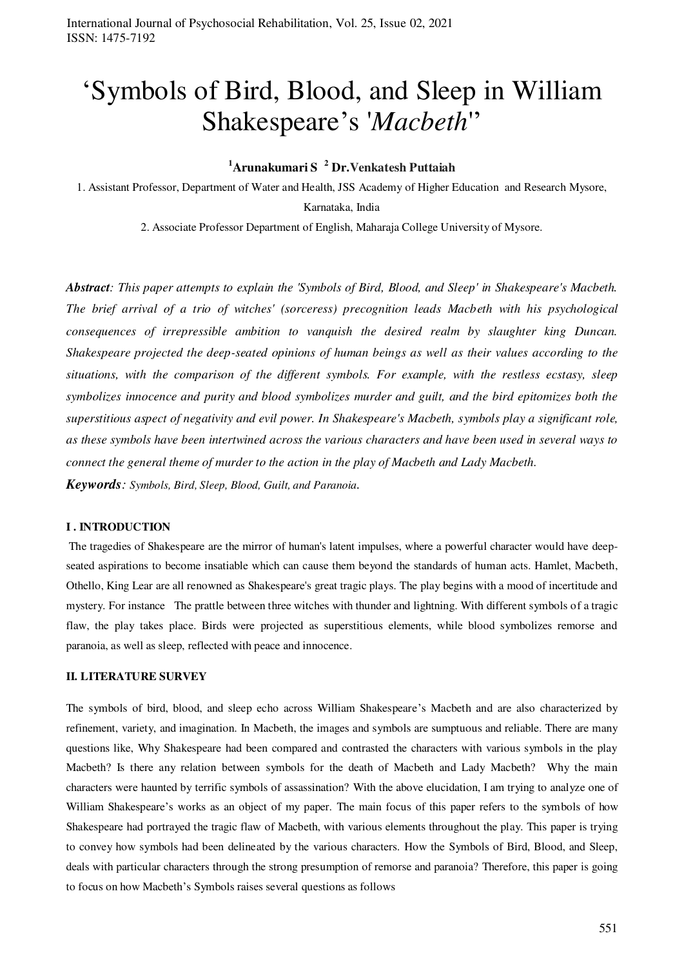# 'Symbols of Bird, Blood, and Sleep in William Shakespeare's '*Macbeth*''

# **<sup>1</sup>Arunakumari S <sup>2</sup> Dr.Venkatesh Puttaiah**

1. Assistant Professor, Department of Water and Health, JSS Academy of Higher Education and Research Mysore, Karnataka, India

2. Associate Professor Department of English, Maharaja College University of Mysore.

*Abstract: This paper attempts to explain the 'Symbols of Bird, Blood, and Sleep' in Shakespeare's Macbeth. The brief arrival of a trio of witches' (sorceress) precognition leads Macbeth with his psychological consequences of irrepressible ambition to vanquish the desired realm by slaughter king Duncan. Shakespeare projected the deep-seated opinions of human beings as well as their values according to the situations, with the comparison of the different symbols. For example, with the restless ecstasy, sleep symbolizes innocence and purity and blood symbolizes murder and guilt, and the bird epitomizes both the superstitious aspect of negativity and evil power. In Shakespeare's Macbeth, symbols play a significant role, as these symbols have been intertwined across the various characters and have been used in several ways to connect the general theme of murder to the action in the play of Macbeth and Lady Macbeth. Keywords: Symbols, Bird, Sleep, Blood, Guilt, and Paranoia.* 

#### **I . INTRODUCTION**

 The tragedies of Shakespeare are the mirror of human's latent impulses, where a powerful character would have deepseated aspirations to become insatiable which can cause them beyond the standards of human acts. Hamlet, Macbeth, Othello, King Lear are all renowned as Shakespeare's great tragic plays. The play begins with a mood of incertitude and mystery. For instance The prattle between three witches with thunder and lightning. With different symbols of a tragic flaw, the play takes place. Birds were projected as superstitious elements, while blood symbolizes remorse and paranoia, as well as sleep, reflected with peace and innocence.

#### **II. LITERATURE SURVEY**

The symbols of bird, blood, and sleep echo across William Shakespeare's Macbeth and are also characterized by refinement, variety, and imagination. In Macbeth, the images and symbols are sumptuous and reliable. There are many questions like, Why Shakespeare had been compared and contrasted the characters with various symbols in the play Macbeth? Is there any relation between symbols for the death of Macbeth and Lady Macbeth? Why the main characters were haunted by terrific symbols of assassination? With the above elucidation, I am trying to analyze one of William Shakespeare's works as an object of my paper. The main focus of this paper refers to the symbols of how Shakespeare had portrayed the tragic flaw of Macbeth, with various elements throughout the play. This paper is trying to convey how symbols had been delineated by the various characters. How the Symbols of Bird, Blood, and Sleep, deals with particular characters through the strong presumption of remorse and paranoia? Therefore, this paper is going to focus on how Macbeth's Symbols raises several questions as follows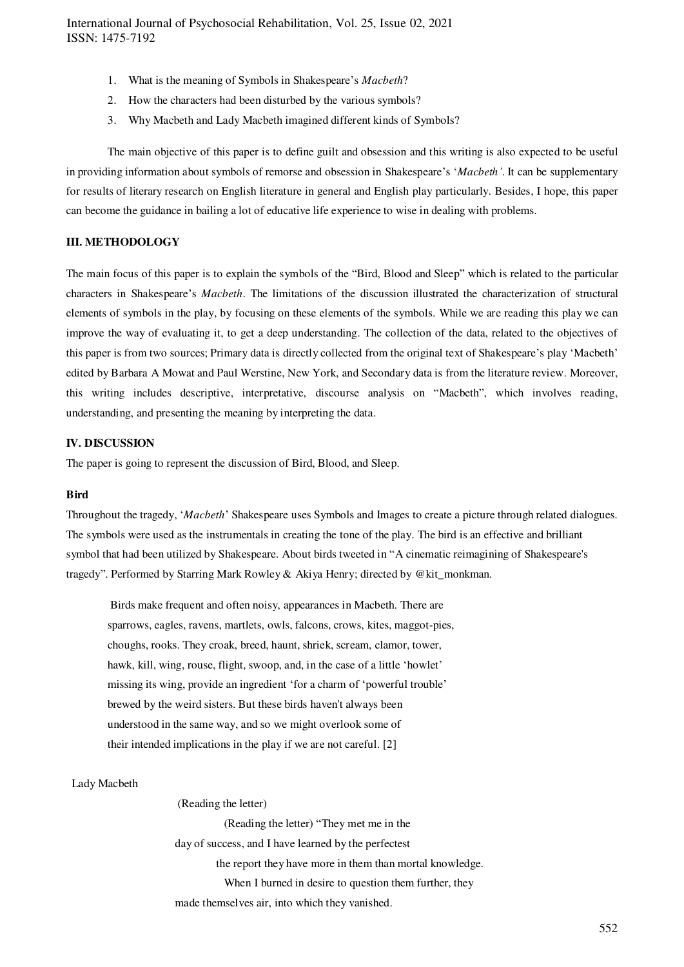- 1. What is the meaning of Symbols in Shakespeare's *Macbeth*?
- 2. How the characters had been disturbed by the various symbols?
- 3. Why Macbeth and Lady Macbeth imagined different kinds of Symbols?

The main objective of this paper is to define guilt and obsession and this writing is also expected to be useful in providing information about symbols of remorse and obsession in Shakespeare's '*Macbeth'*. It can be supplementary for results of literary research on English literature in general and English play particularly. Besides, I hope, this paper can become the guidance in bailing a lot of educative life experience to wise in dealing with problems.

## **III. METHODOLOGY**

The main focus of this paper is to explain the symbols of the "Bird, Blood and Sleep" which is related to the particular characters in Shakespeare's *Macbeth*. The limitations of the discussion illustrated the characterization of structural elements of symbols in the play, by focusing on these elements of the symbols. While we are reading this play we can improve the way of evaluating it, to get a deep understanding. The collection of the data, related to the objectives of this paper is from two sources; Primary data is directly collected from the original text of Shakespeare's play 'Macbeth' edited by Barbara A Mowat and [Paul Werstine,](https://www.simonandschuster.com/authors/Paul-Werstine/1573955) New York, and Secondary data is from the literature review. Moreover, this writing includes descriptive, interpretative, discourse analysis on "Macbeth", which involves reading, understanding, and presenting the meaning by interpreting the data.

#### **IV. DISCUSSION**

The paper is going to represent the discussion of Bird, Blood, and Sleep.

#### **Bird**

Throughout the tragedy, '*Macbeth*' Shakespeare uses Symbols and Images to create a picture through related dialogues. The symbols were used as the instrumentals in creating the tone of the play. The bird is an effective and brilliant symbol that had been utilized by Shakespeare. About birds tweeted in "A cinematic reimagining of Shakespeare's tragedy". Performed by Starring Mark Rowley & Akiya Henry; directed by @kit\_monkman.

 Birds make frequent and often noisy, appearances in Macbeth. There are sparrows, eagles, ravens, martlets, owls, falcons, crows, kites, maggot-pies, choughs, rooks. They croak, breed, haunt, shriek, scream, clamor, tower, hawk, kill, wing, rouse, flight, swoop, and, in the case of a little 'howlet' missing its wing, provide an ingredient 'for a charm of 'powerful trouble' brewed by the weird sisters. But these birds haven't always been understood in the same way, and so we might overlook some of their intended implications in the play if we are not careful. [2]

# Lady Macbeth

 (Reading the letter) (Reading the letter) "They met me in the day of success, and I have learned by the perfectest the report they have more in them than mortal knowledge. When I burned in desire to question them further, they made themselves air, into which they vanished.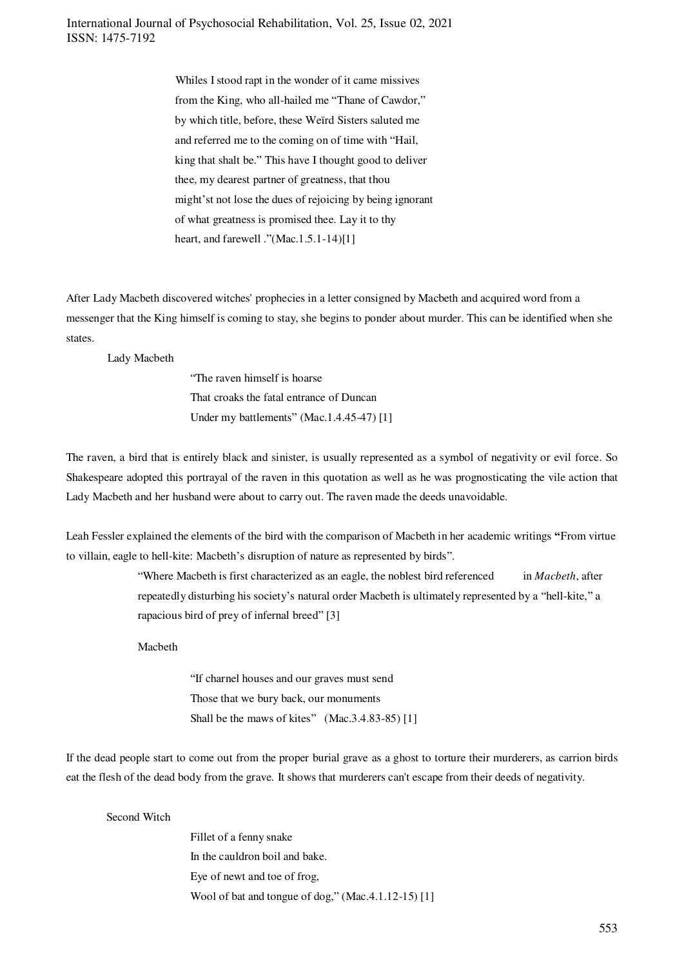> Whiles I stood rapt in the wonder of it came missives from the King, who all-hailed me "Thane of Cawdor," by which title, before, these Weïrd Sisters saluted me and referred me to the coming on of time with "Hail, king that shalt be." This have I thought good to deliver thee, my dearest partner of greatness, that thou might'st not lose the dues of rejoicing by being ignorant of what greatness is promised thee. Lay it to thy heart, and farewell ."(Mac.1.5.1-14)[1]

After Lady Macbeth discovered witches' prophecies in a letter consigned by Macbeth and acquired word from a messenger that the King himself is coming to stay, she begins to ponder about murder. This can be identified when she states.

Lady Macbeth

"The raven himself is hoarse That croaks the fatal entrance of Duncan Under my battlements" (Mac.1.4.45-47) [1]

The raven, a bird that is entirely black and sinister, is usually represented as a symbol of negativity or evil force. So Shakespeare adopted this portrayal of the raven in this quotation as well as he was prognosticating the vile action that Lady Macbeth and her husband were about to carry out. The raven made the deeds unavoidable.

Leah Fessler explained the elements of the bird with the comparison of Macbeth in her academic writings **"**From virtue to villain, eagle to hell-kite: Macbeth's disruption of nature as represented by birds".

> "Where Macbeth is first characterized as an eagle, the noblest bird referenced in *Macbeth*, after repeatedly disturbing his society's natural order Macbeth is ultimately represented by a "hell-kite," a rapacious bird of prey of infernal breed" [3]

Macbeth

"If charnel houses and our graves must send Those that we bury back, our monuments Shall be the maws of kites" (Mac.3.4.83-85) [1]

If the dead people start to come out from the proper burial grave as a ghost to torture their murderers, as carrion birds eat the flesh of the dead body from the grave. It shows that murderers can't escape from their deeds of negativity.

#### Second Witch

Fillet of a fenny snake In the cauldron boil and bake. Eye of newt and toe of frog, Wool of bat and tongue of dog," (Mac.4.1.12-15) [1]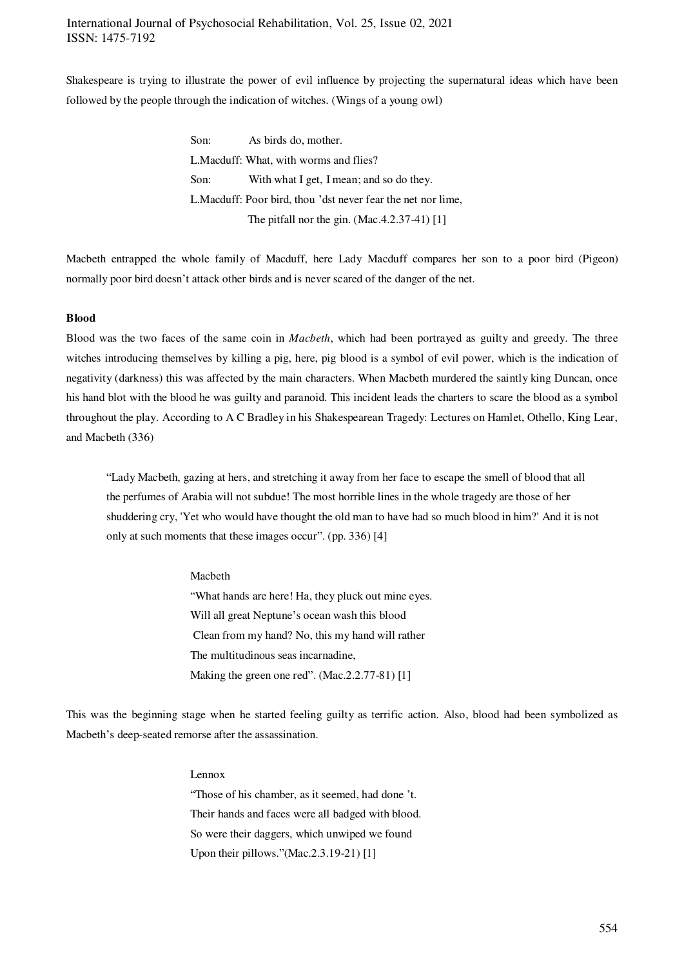Shakespeare is trying to illustrate the power of evil influence by projecting the supernatural ideas which have been followed by the people through the indication of witches. (Wings of a young owl)

> Son: As birds do, mother. L.Macduff: What, with worms and flies? Son: With what I get, I mean; and so do they. L.Macduff: Poor bird, thou 'dst never fear the net nor lime, The pitfall nor the gin. (Mac.4.2.37-41) [1]

Macbeth entrapped the whole family of Macduff, here Lady Macduff compares her son to a poor bird (Pigeon) normally poor bird doesn't attack other birds and is never scared of the danger of the net.

#### **Blood**

Blood was the two faces of the same coin in *Macbeth*, which had been portrayed as guilty and greedy. The three witches introducing themselves by killing a pig, here, pig blood is a symbol of evil power, which is the indication of negativity (darkness) this was affected by the main characters. When Macbeth murdered the saintly king Duncan, once his hand blot with the blood he was guilty and paranoid. This incident leads the charters to scare the blood as a symbol throughout the play. According to A C Bradley in his Shakespearean Tragedy: Lectures on Hamlet, Othello, King Lear, and Macbeth (336)

"Lady Macbeth, gazing at hers, and stretching it away from her face to escape the smell of blood that all the perfumes of Arabia will not subdue! The most horrible lines in the whole tragedy are those of her shuddering cry, 'Yet who would have thought the old man to have had so much blood in him?' And it is not only at such moments that these images occur". (pp. 336) [4]

#### Macbeth

"What hands are here! Ha, they pluck out mine eyes. Will all great Neptune's ocean wash this blood Clean from my hand? No, this my hand will rather The multitudinous seas incarnadine, Making the green one red". (Mac. 2.2.77-81) [1]

This was the beginning stage when he started feeling guilty as terrific action. Also, blood had been symbolized as Macbeth's deep-seated remorse after the assassination.

#### Lennox

"Those of his chamber, as it seemed, had done 't. Their hands and faces were all badged with blood. So were their daggers, which unwiped we found Upon their pillows."(Mac.2.3.19-21) [1]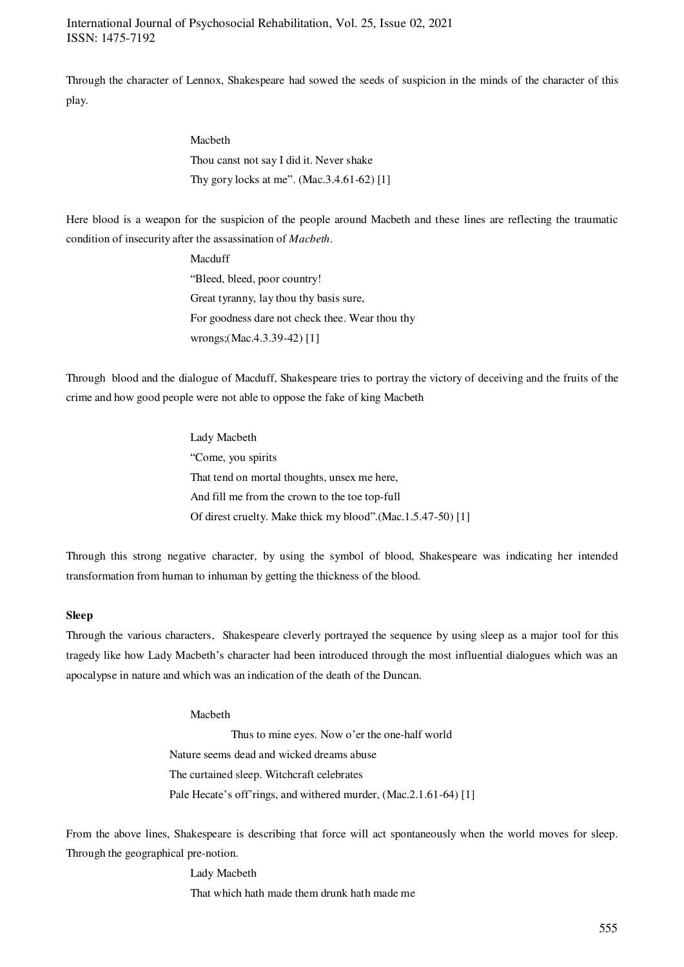Through the character of Lennox, Shakespeare had sowed the seeds of suspicion in the minds of the character of this play.

# Macbeth

Thou canst not say I did it. Never shake Thy gory locks at me". (Mac.3.4.61-62) [1]

Here blood is a weapon for the suspicion of the people around Macbeth and these lines are reflecting the traumatic condition of insecurity after the assassination of *Macbeth*.

> Macduff "Bleed, bleed, poor country! Great tyranny, lay thou thy basis sure, For goodness dare not check thee. Wear thou thy wrongs;(Mac.4.3.39-42) [1]

Through blood and the dialogue of Macduff, Shakespeare tries to portray the victory of deceiving and the fruits of the crime and how good people were not able to oppose the fake of king Macbeth

> Lady Macbeth "Come, you spirits That tend on mortal thoughts, unsex me here, And fill me from the crown to the toe top-full Of direst cruelty. Make thick my blood".(Mac.1.5.47-50) [1]

Through this strong negative character, by using the symbol of blood, Shakespeare was indicating her intended transformation from human to inhuman by getting the thickness of the blood.

#### **Sleep**

Through the various characters, Shakespeare cleverly portrayed the sequence by using sleep as a major tool for this tragedy like how Lady Macbeth's character had been introduced through the most influential dialogues which was an apocalypse in nature and which was an indication of the death of the Duncan.

#### Macbeth

Thus to mine eyes. Now o'er the one-half world Nature seems dead and wicked dreams abuse The curtained sleep. Witchcraft celebrates Pale Hecate's off'rings, and withered murder, (Mac.2.1.61-64) [1]

From the above lines, Shakespeare is describing that force will act spontaneously when the world moves for sleep. Through the geographical pre-notion.

> Lady Macbeth That which hath made them drunk hath made me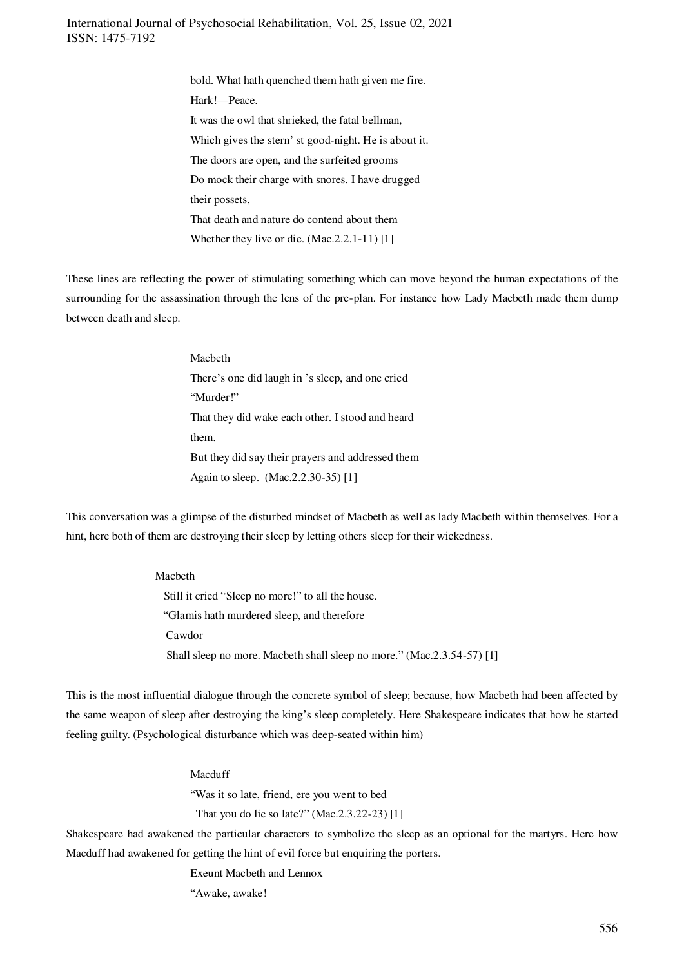> bold. What hath quenched them hath given me fire. Hark!—Peace. It was the owl that shrieked, the fatal bellman, Which gives the stern' st good-night. He is about it. The doors are open, and the surfeited grooms Do mock their charge with snores. I have drugged their possets, That death and nature do contend about them Whether they live or die. (Mac.2.2.1-11) [1]

These lines are reflecting the power of stimulating something which can move beyond the human expectations of the surrounding for the assassination through the lens of the pre-plan. For instance how Lady Macbeth made them dump between death and sleep.

> Macbeth There's one did laugh in 's sleep, and one cried "Murder!" That they did wake each other. I stood and heard them. But they did say their prayers and addressed them Again to sleep. (Mac.2.2.30-35) [1]

This conversation was a glimpse of the disturbed mindset of Macbeth as well as lady Macbeth within themselves. For a hint, here both of them are destroying their sleep by letting others sleep for their wickedness.

> Macbeth Still it cried "Sleep no more!" to all the house. "Glamis hath murdered sleep, and therefore Cawdor Shall sleep no more. Macbeth shall sleep no more." (Mac.2.3.54-57) [1]

This is the most influential dialogue through the concrete symbol of sleep; because, how Macbeth had been affected by the same weapon of sleep after destroying the king's sleep completely. Here Shakespeare indicates that how he started feeling guilty. (Psychological disturbance which was deep-seated within him)

#### Macduff

"Was it so late, friend, ere you went to bed

That you do lie so late?" (Mac.2.3.22-23) [1]

Shakespeare had awakened the particular characters to symbolize the sleep as an optional for the martyrs. Here how Macduff had awakened for getting the hint of evil force but enquiring the porters.

Exeunt Macbeth and Lennox

"Awake, awake!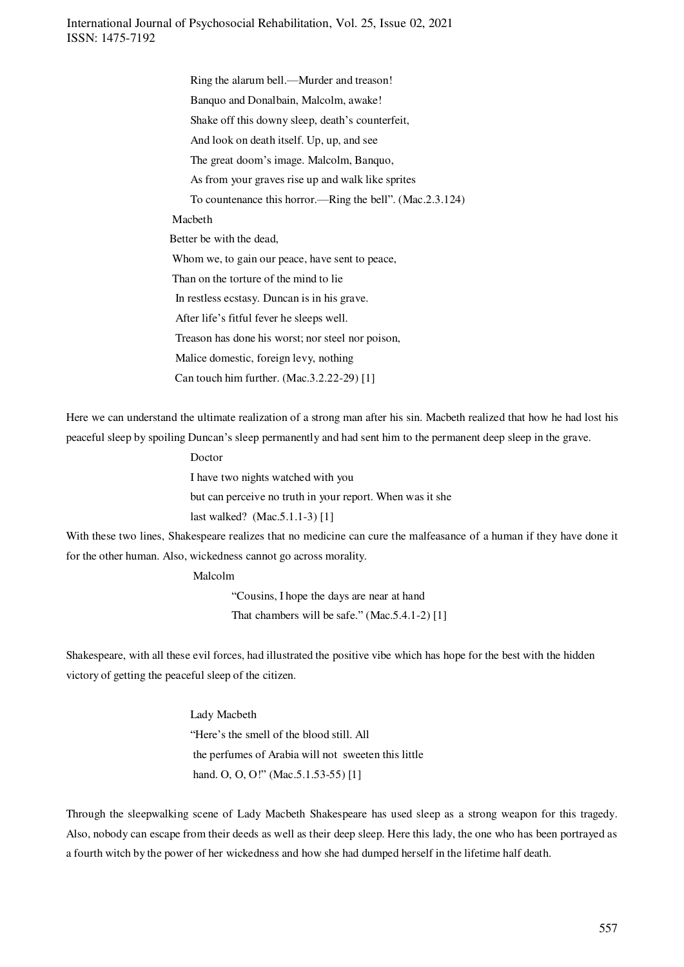> Ring the alarum bell.—Murder and treason! Banquo and Donalbain, Malcolm, awake! Shake off this downy sleep, death's counterfeit, And look on death itself. Up, up, and see The great doom's image. Malcolm, Banquo, As from your graves rise up and walk like sprites To countenance this horror.—Ring the bell". (Mac.2.3.124) Macbeth Better be with the dead, Whom we, to gain our peace, have sent to peace, Than on the torture of the mind to lie In restless ecstasy. Duncan is in his grave. After life's fitful fever he sleeps well. Treason has done his worst; nor steel nor poison, Malice domestic, foreign levy, nothing Can touch him further. (Mac.3.2.22-29) [1]

Here we can understand the ultimate realization of a strong man after his sin. Macbeth realized that how he had lost his peaceful sleep by spoiling Duncan's sleep permanently and had sent him to the permanent deep sleep in the grave.

> Doctor I have two nights watched with you but can perceive no truth in your report. When was it she last walked? (Mac.5.1.1-3) [1]

With these two lines, Shakespeare realizes that no medicine can cure the malfeasance of a human if they have done it for the other human. Also, wickedness cannot go across morality.

Malcolm

"Cousins, I hope the days are near at hand That chambers will be safe." (Mac.5.4.1-2) [1]

Shakespeare, with all these evil forces, had illustrated the positive vibe which has hope for the best with the hidden victory of getting the peaceful sleep of the citizen.

> Lady Macbeth "Here's the smell of the blood still. All the perfumes of Arabia will not sweeten this little hand. O, O, O!" (Mac.5.1.53-55) [1]

Through the sleepwalking scene of Lady Macbeth Shakespeare has used sleep as a strong weapon for this tragedy. Also, nobody can escape from their deeds as well as their deep sleep. Here this lady, the one who has been portrayed as a fourth witch by the power of her wickedness and how she had dumped herself in the lifetime half death.